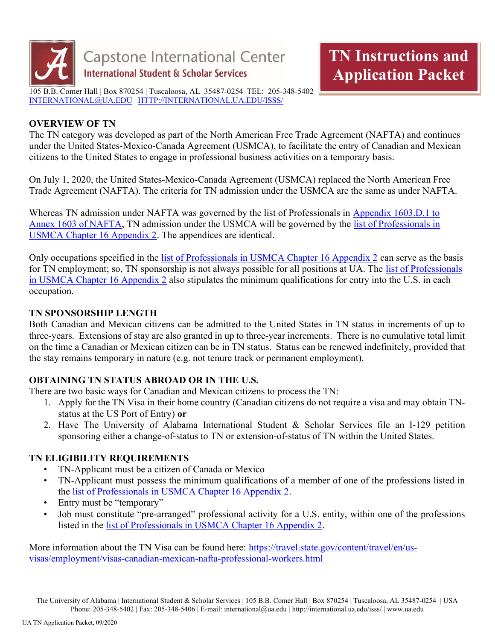

## OVERVIEW OF TN

The TN category was developed as part of the North American Free Trade Agreement (NAFTA) and continues under the United States-Mexico-Canada Agreement (USMCA), to facilitate the entry of Canadian and Mexican citizens to the United States to engage in professional business activities on a temporary basis.

On July 1, 2020, the United States-Mexico-Canada Agreement (USMCA) replaced the North American Free Trade Agreement (NAFTA). The criteria for TN admission under the USMCA are the same as under NAFTA.

Whereas TN admission under NAFTA was governed by the list of Professionals in Appendix 1603.D.1 to Annex 1603 of NAFTA, TN admission under the USMCA will be governed by the list of Professionals in USMCA Chapter 16 Appendix 2. The appendices are identical.

Only occupations specified in the list of Professionals in USMCA Chapter 16 Appendix 2 can serve as the basis for TN employment; so, TN sponsorship is not always possible for all positions at UA. The list of Professionals in USMCA Chapter 16 Appendix 2 also stipulates the minimum qualifications for entry into the U.S. in each occupation.

# TN SPONSORSHIP LENGTH

Both Canadian and Mexican citizens can be admitted to the United States in TN status in increments of up to three-years. Extensions of stay are also granted in up to three-year increments. There is no cumulative total limit on the time a Canadian or Mexican citizen can be in TN status. Status can be renewed indefinitely, provided that the stay remains temporary in nature (e.g. not tenure track or permanent employment).

# OBTAINING TN STATUS ABROAD OR IN THE U.S.

There are two basic ways for Canadian and Mexican citizens to process the TN:

- 1. Apply for the TN Visa in their home country (Canadian citizens do not require a visa and may obtain TNstatus at the US Port of Entry) or
- 2. Have The University of Alabama International Student & Scholar Services file an I-129 petition sponsoring either a change-of-status to TN or extension-of-status of TN within the United States.

# TN ELIGIBILITY REQUIREMENTS

- TN-Applicant must be a citizen of Canada or Mexico
- TN-Applicant must possess the minimum qualifications of a member of one of the professions listed in the list of Professionals in USMCA Chapter 16 Appendix 2.
- Entry must be "temporary"
- Job must constitute "pre-arranged" professional activity for a U.S. entity, within one of the professions listed in the list of Professionals in USMCA Chapter 16 Appendix 2.

More information about the TN Visa can be found here: https://travel.state.gov/content/travel/en/usvisas/employment/visas-canadian-mexican-nafta-professional-workers.html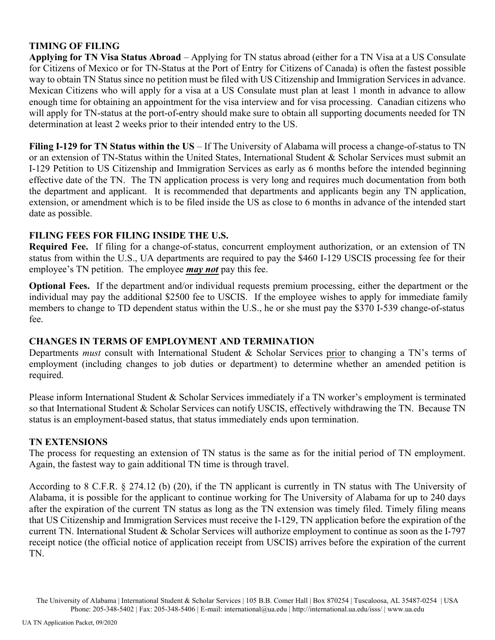## TIMING OF FILING

Applying for TN Visa Status Abroad – Applying for TN status abroad (either for a TN Visa at a US Consulate for Citizens of Mexico or for TN-Status at the Port of Entry for Citizens of Canada) is often the fastest possible way to obtain TN Status since no petition must be filed with US Citizenship and Immigration Services in advance. Mexican Citizens who will apply for a visa at a US Consulate must plan at least 1 month in advance to allow enough time for obtaining an appointment for the visa interview and for visa processing. Canadian citizens who will apply for TN-status at the port-of-entry should make sure to obtain all supporting documents needed for TN determination at least 2 weeks prior to their intended entry to the US.

Filing I-129 for TN Status within the US – If The University of Alabama will process a change-of-status to TN or an extension of TN-Status within the United States, International Student & Scholar Services must submit an I-129 Petition to US Citizenship and Immigration Services as early as 6 months before the intended beginning effective date of the TN. The TN application process is very long and requires much documentation from both the department and applicant. It is recommended that departments and applicants begin any TN application, extension, or amendment which is to be filed inside the US as close to 6 months in advance of the intended start date as possible.

## FILING FEES FOR FILING INSIDE THE U.S.

Required Fee. If filing for a change-of-status, concurrent employment authorization, or an extension of TN status from within the U.S., UA departments are required to pay the \$460 I-129 USCIS processing fee for their employee's TN petition. The employee *may not* pay this fee.

Optional Fees. If the department and/or individual requests premium processing, either the department or the individual may pay the additional \$2500 fee to USCIS. If the employee wishes to apply for immediate family members to change to TD dependent status within the U.S., he or she must pay the \$370 I-539 change-of-status fee.

## CHANGES IN TERMS OF EMPLOYMENT AND TERMINATION

Departments *must* consult with International Student & Scholar Services prior to changing a TN's terms of employment (including changes to job duties or department) to determine whether an amended petition is required.

Please inform International Student & Scholar Services immediately if a TN worker's employment is terminated so that International Student & Scholar Services can notify USCIS, effectively withdrawing the TN. Because TN status is an employment-based status, that status immediately ends upon termination.

## TN EXTENSIONS

The process for requesting an extension of TN status is the same as for the initial period of TN employment. Again, the fastest way to gain additional TN time is through travel.

According to 8 C.F.R. § 274.12 (b) (20), if the TN applicant is currently in TN status with The University of Alabama, it is possible for the applicant to continue working for The University of Alabama for up to 240 days after the expiration of the current TN status as long as the TN extension was timely filed. Timely filing means that US Citizenship and Immigration Services must receive the I-129, TN application before the expiration of the current TN. International Student & Scholar Services will authorize employment to continue as soon as the I-797 receipt notice (the official notice of application receipt from USCIS) arrives before the expiration of the current TN.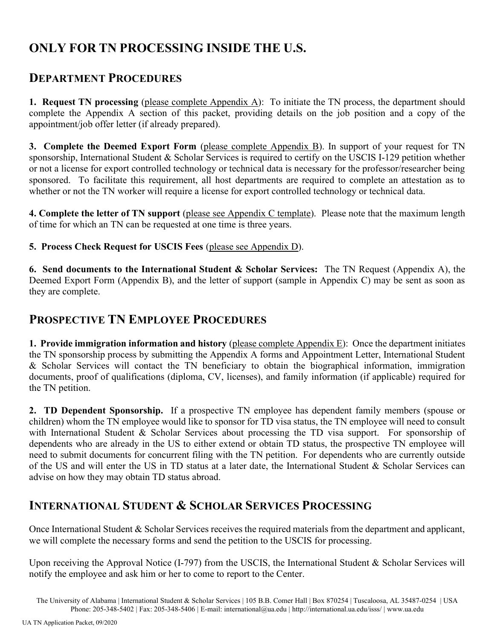# ONLY FOR TN PROCESSING INSIDE THE U.S.

# DEPARTMENT PROCEDURES

1. Request TN processing (please complete Appendix  $\overline{A}$ ): To initiate the TN process, the department should complete the Appendix A section of this packet, providing details on the job position and a copy of the appointment/job offer letter (if already prepared).

3. Complete the Deemed Export Form (please complete Appendix B). In support of your request for TN sponsorship, International Student & Scholar Services is required to certify on the USCIS I-129 petition whether or not a license for export controlled technology or technical data is necessary for the professor/researcher being sponsored. To facilitate this requirement, all host departments are required to complete an attestation as to whether or not the TN worker will require a license for export controlled technology or technical data.

4. Complete the letter of TN support (please see Appendix C template). Please note that the maximum length of time for which an TN can be requested at one time is three years.

5. Process Check Request for USCIS Fees (please see Appendix D).

6. Send documents to the International Student  $\&$  Scholar Services: The TN Request (Appendix A), the Deemed Export Form (Appendix B), and the letter of support (sample in Appendix C) may be sent as soon as they are complete.

# PROSPECTIVE TN EMPLOYEE PROCEDURES

1. Provide immigration information and history (please complete Appendix  $E$ ): Once the department initiates the TN sponsorship process by submitting the Appendix A forms and Appointment Letter, International Student & Scholar Services will contact the TN beneficiary to obtain the biographical information, immigration documents, proof of qualifications (diploma, CV, licenses), and family information (if applicable) required for the TN petition.

2. TD Dependent Sponsorship. If a prospective TN employee has dependent family members (spouse or children) whom the TN employee would like to sponsor for TD visa status, the TN employee will need to consult with International Student & Scholar Services about processing the TD visa support. For sponsorship of dependents who are already in the US to either extend or obtain TD status, the prospective TN employee will need to submit documents for concurrent filing with the TN petition. For dependents who are currently outside of the US and will enter the US in TD status at a later date, the International Student & Scholar Services can advise on how they may obtain TD status abroad.

# INTERNATIONAL STUDENT & SCHOLAR SERVICES PROCESSING

Once International Student & Scholar Services receives the required materials from the department and applicant, we will complete the necessary forms and send the petition to the USCIS for processing.

Upon receiving the Approval Notice (I-797) from the USCIS, the International Student & Scholar Services will notify the employee and ask him or her to come to report to the Center.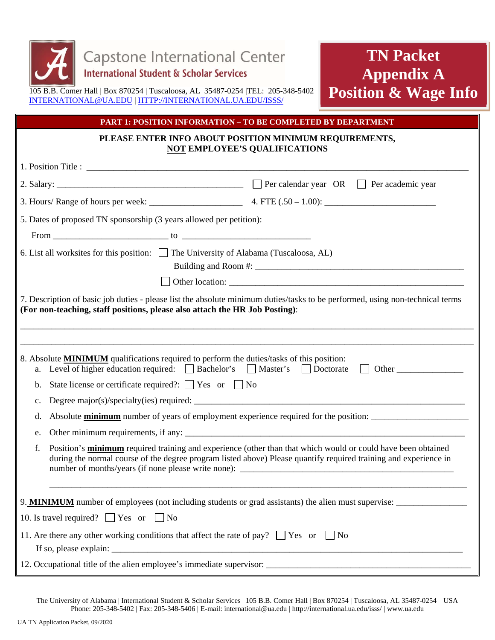

# **TN Packet Appendix A Position & Wage Info**

#### **PART 1: POSITION INFORMATION – TO BE COMPLETED BY DEPARTMENT**

#### **PLEASE ENTER INFO ABOUT POSITION MINIMUM REQUIREMENTS, NOT EMPLOYEE'S QUALIFICATIONS**

| 5. Dates of proposed TN sponsorship (3 years allowed per petition):                                                                                                                                                                                                                                                                                                                                                                                                                                |                                                                                                                                                                                                                                                                                                                                                     |
|----------------------------------------------------------------------------------------------------------------------------------------------------------------------------------------------------------------------------------------------------------------------------------------------------------------------------------------------------------------------------------------------------------------------------------------------------------------------------------------------------|-----------------------------------------------------------------------------------------------------------------------------------------------------------------------------------------------------------------------------------------------------------------------------------------------------------------------------------------------------|
| 6. List all worksites for this position: The University of Alabama (Tuscaloosa, AL)                                                                                                                                                                                                                                                                                                                                                                                                                |                                                                                                                                                                                                                                                                                                                                                     |
|                                                                                                                                                                                                                                                                                                                                                                                                                                                                                                    |                                                                                                                                                                                                                                                                                                                                                     |
| 7. Description of basic job duties - please list the absolute minimum duties/tasks to be performed, using non-technical terms<br>(For non-teaching, staff positions, please also attach the HR Job Posting):                                                                                                                                                                                                                                                                                       |                                                                                                                                                                                                                                                                                                                                                     |
| 8. Absolute <b>MINIMUM</b> qualifications required to perform the duties/tasks of this position:<br>Level of higher education required: $\Box$ Bachelor's $\Box$ Master's $\Box$ Doctorate<br>a.<br>State license or certificate required?: $\Box$ Yes or $\Box$ No<br>b.<br>$\mathbf{c}$ .<br>d.<br>e.<br>f.                                                                                                                                                                                      | Other<br>$\perp$<br>Absolute <b>minimum</b> number of years of employment experience required for the position:<br>Position's minimum required training and experience (other than that which would or could have been obtained<br>during the normal course of the degree program listed above) Please quantify required training and experience in |
| 10. Is travel required? $\Box$ Yes or $\Box$ No                                                                                                                                                                                                                                                                                                                                                                                                                                                    |                                                                                                                                                                                                                                                                                                                                                     |
| 11. Are there any other working conditions that affect the rate of pay? $\Box$ Yes or $\Box$ No<br>If so, please explain: $\frac{1}{\sqrt{1-\frac{1}{2}}\sqrt{1-\frac{1}{2}}\sqrt{1-\frac{1}{2}}\sqrt{1-\frac{1}{2}}\sqrt{1-\frac{1}{2}}\sqrt{1-\frac{1}{2}}\sqrt{1-\frac{1}{2}}\sqrt{1-\frac{1}{2}}\sqrt{1-\frac{1}{2}}\sqrt{1-\frac{1}{2}}\sqrt{1-\frac{1}{2}}\sqrt{1-\frac{1}{2}}\sqrt{1-\frac{1}{2}}\sqrt{1-\frac{1}{2}}\sqrt{1-\frac{1}{2}}\sqrt{1-\frac{1}{2}}\sqrt{1-\frac{1}{2}}\sqrt{1-\$ |                                                                                                                                                                                                                                                                                                                                                     |
|                                                                                                                                                                                                                                                                                                                                                                                                                                                                                                    |                                                                                                                                                                                                                                                                                                                                                     |

The University of Alabama | International Student & Scholar Services | 105 B.B. Comer Hall | Box 870254 | Tuscaloosa, AL 35487-0254 | USA Phone: 205-348-5402 | Fax: 205-348-5406 | E-mail: international@ua.edu | http://international.ua.edu/isss/ | www.ua.edu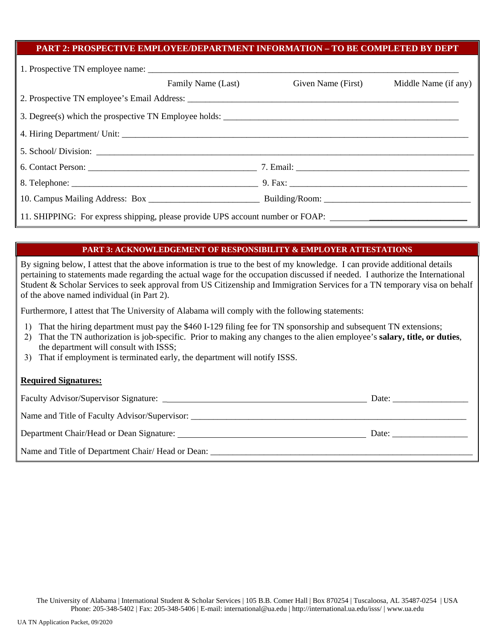#### **PART 2: PROSPECTIVE EMPLOYEE/DEPARTMENT INFORMATION – TO BE COMPLETED BY DEPT**

|                                                                                                      | Family Name (Last) | Given Name (First) | Middle Name (if any) |
|------------------------------------------------------------------------------------------------------|--------------------|--------------------|----------------------|
|                                                                                                      |                    |                    |                      |
|                                                                                                      |                    |                    |                      |
|                                                                                                      |                    |                    |                      |
|                                                                                                      |                    |                    |                      |
|                                                                                                      |                    |                    |                      |
|                                                                                                      |                    |                    |                      |
|                                                                                                      |                    |                    |                      |
| 11. SHIPPING: For express shipping, please provide UPS account number or FOAP: _____________________ |                    |                    |                      |

#### **PART 3: ACKNOWLEDGEMENT OF RESPONSIBILITY & EMPLOYER ATTESTATIONS**

By signing below, I attest that the above information is true to the best of my knowledge. I can provide additional details pertaining to statements made regarding the actual wage for the occupation discussed if needed. I authorize the International Student & Scholar Services to seek approval from US Citizenship and Immigration Services for a TN temporary visa on behalf of the above named individual (in Part 2).

Furthermore, I attest that The University of Alabama will comply with the following statements:

- 1) That the hiring department must pay the \$460 I-129 filing fee for TN sponsorship and subsequent TN extensions;
- 2) That the TN authorization is job-specific. Prior to making any changes to the alien employee's **salary, title, or duties**, the department will consult with ISSS;
- 3) That if employment is terminated early, the department will notify ISSS.

#### **Required Signatures:**

|                                                   | Date: |
|---------------------------------------------------|-------|
| Name and Title of Faculty Advisor/Supervisor:     |       |
| Department Chair/Head or Dean Signature:<br>Date: |       |
| Name and Title of Department Chair/Head or Dean:  |       |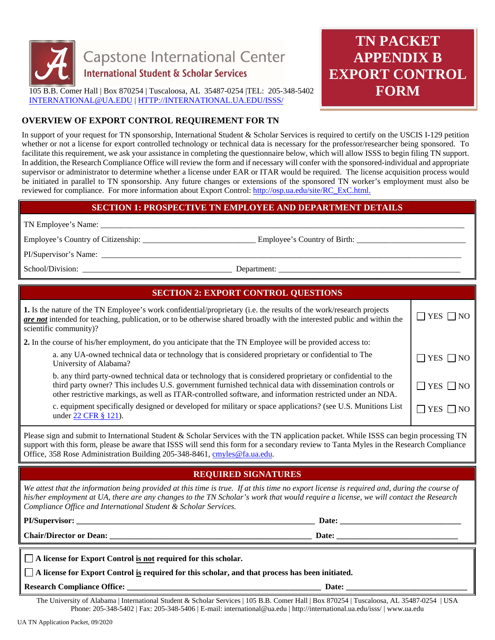

# **TN PACKET APPENDIX B EXPORT CONTROL FORM**

## **OVERVIEW OF EXPORT CONTROL REQUIREMENT FOR TN**

In support of your request for TN sponsorship, International Student & Scholar Services is required to certify on the USCIS I-129 petition whether or not a license for export controlled technology or technical data is necessary for the professor/researcher being sponsored. To facilitate this requirement, we ask your assistance in completing the questionnaire below, which will allow ISSS to begin filing TN support. In addition, the Research Compliance Office will review the form and if necessary will confer with the sponsored-individual and appropriate supervisor or administrator to determine whether a license under EAR or ITAR would be required. The license acquisition process would be initiated in parallel to TN sponsorship. Any future changes or extensions of the sponsored TN worker's employment must also be reviewed for compliance. For more information about Export Control: http://osp.ua.edu/site/RC\_ExC.html.

#### **SECTION 1: PROSPECTIVE TN EMPLOYEE AND DEPARTMENT DETAILS**

TN Employee's Name: \_\_\_\_\_\_\_\_\_\_\_\_\_\_\_\_\_\_\_\_\_\_\_\_\_\_\_\_\_\_\_\_\_\_\_\_\_\_\_\_\_\_\_\_\_\_\_\_\_\_\_\_\_\_\_\_\_\_\_\_\_\_\_\_\_\_\_\_\_\_\_\_\_\_\_\_\_\_\_\_\_\_\_\_\_\_\_\_\_\_

Employee's Country of Citizenship: \_\_\_\_\_\_\_\_\_\_\_\_\_\_\_\_\_\_\_\_\_\_\_\_\_\_\_\_ Employee's Country of Birth: \_\_\_\_\_\_\_\_\_\_\_\_\_\_\_\_\_\_\_\_\_\_\_\_\_\_\_

PI/Supervisor's Name: \_\_\_\_\_\_\_\_\_\_\_\_\_\_\_\_\_\_\_\_\_\_\_\_\_\_\_\_\_\_\_\_\_\_\_\_\_\_\_\_\_\_\_\_\_\_\_\_\_\_\_\_\_\_\_\_\_\_\_\_\_\_\_\_\_\_\_\_\_\_\_\_\_\_\_\_\_\_\_\_\_\_\_\_\_\_\_\_\_

School/Division: \_\_\_\_\_\_\_\_\_\_\_\_\_\_\_\_\_\_\_\_\_\_\_\_\_\_\_\_\_\_\_\_\_\_\_\_\_ Department: \_\_\_\_\_\_\_\_\_\_\_\_\_\_\_\_\_\_\_\_\_\_\_\_\_\_\_\_\_\_\_\_\_\_\_\_\_\_\_\_\_\_\_\_\_

# **SECTION 2: EXPORT CONTROL QUESTIONS**

| 1. Is the nature of the TN Employee's work confidential/proprietary (i.e. the results of the work/research projects<br>are not intended for teaching, publication, or to be otherwise shared broadly with the interested public and within the<br>scientific community)?                                                             |                      |
|--------------------------------------------------------------------------------------------------------------------------------------------------------------------------------------------------------------------------------------------------------------------------------------------------------------------------------------|----------------------|
| 2. In the course of his/her employment, do you anticipate that the TN Employee will be provided access to:                                                                                                                                                                                                                           |                      |
| a. any UA-owned technical data or technology that is considered proprietary or confidential to The<br>University of Alabama?                                                                                                                                                                                                         | $\Box$ YES $\Box$ NO |
| b. any third party-owned technical data or technology that is considered proprietary or confidential to the<br>third party owner? This includes U.S. government furnished technical data with dissemination controls or<br>other restrictive markings, as well as ITAR-controlled software, and information restricted under an NDA. | $\Box$ YES $\Box$ NO |
| c. equipment specifically designed or developed for military or space applications? (see U.S. Munitions List<br>under 22 CFR § 121).                                                                                                                                                                                                 | l IYES I INO         |
|                                                                                                                                                                                                                                                                                                                                      |                      |

Please sign and submit to International Student & Scholar Services with the TN application packet. While ISSS can begin processing TN support with this form, please be aware that ISSS will send this form for a secondary review to Tanta Myles in the Research Compliance Office, 358 Rose Administration Building 205-348-8461, cmyles@fa.ua.edu.

## **REQUIRED SIGNATURES**

*We attest that the information being provided at this time is true. If at this time no export license is required and, during the course of his/her employment at UA, there are any changes to the TN Scholar's work that would require a license, we will contact the Research Compliance Office and International Student & Scholar Services.* 

**PI/Supervisor: \_\_\_\_\_\_\_\_\_\_\_\_\_\_\_\_\_\_\_\_\_\_\_\_\_\_\_\_\_\_\_\_\_\_\_\_\_\_\_\_\_\_\_\_\_\_\_\_\_\_\_\_\_\_\_\_\_\_\_ Date: \_\_\_\_\_\_\_\_\_\_\_\_\_\_\_\_\_\_\_\_\_\_\_\_\_\_\_\_\_\_** 

**Chair/Director or Dean: \_\_\_\_\_\_\_\_\_\_\_\_\_\_\_\_\_\_\_\_\_\_\_\_\_\_\_\_\_\_\_\_\_\_\_\_\_\_\_\_\_\_\_\_\_\_\_\_\_\_ Date: \_\_\_\_\_\_\_\_\_\_\_\_\_\_\_\_\_\_\_\_\_\_\_\_\_\_\_\_\_\_**

| A license for Export Control is not required for this scholar. |  |
|----------------------------------------------------------------|--|
|----------------------------------------------------------------|--|

 **A license for Export Control is required for this scholar, and that process has been initiated.** 

**Research Compliance Office: Exercise 2.1 Alternative 2.1 Alternative 2.1 Alternative 2.1 Alternative 2.1 Alternative 2.1 Alternative 2.1 Alternative 2.1 Alternative 2.1 Alternative 2.1 Alternative 2.1 Alternative 2.1 Al** 

The University of Alabama | International Student & Scholar Services | 105 B.B. Comer Hall | Box 870254 | Tuscaloosa, AL 35487-0254 | USA Phone: 205-348-5402 | Fax: 205-348-5406 | E-mail: international@ua.edu | http://international.ua.edu/isss/ | www.ua.edu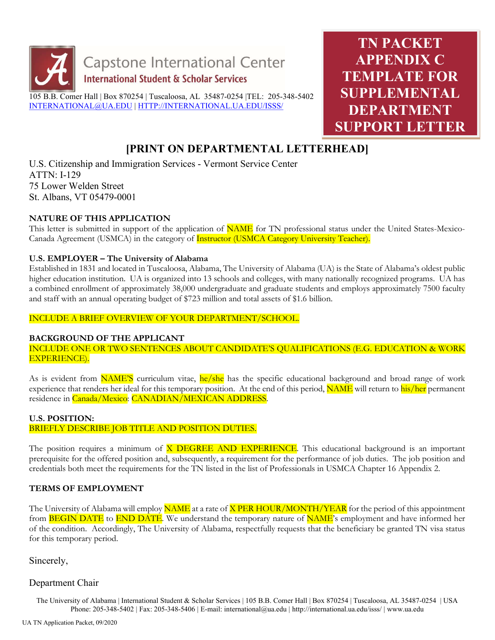

TN PACKET APPENDIX C TEMPLATE FOR SUPPLEMENTAL DEPARTMENT SUPPORT LETTER

# [PRINT ON DEPARTMENTAL LETTERHEAD]

U.S. Citizenship and Immigration Services - Vermont Service Center ATTN: I-129 75 Lower Welden Street St. Albans, VT 05479-0001

#### NATURE OF THIS APPLICATION

This letter is submitted in support of the application of **NAME** for TN professional status under the United States-Mexico-Canada Agreement (USMCA) in the category of Instructor (USMCA Category University Teacher).

#### U.S. EMPLOYER – The University of Alabama

Established in 1831 and located in Tuscaloosa, Alabama, The University of Alabama (UA) is the State of Alabama's oldest public higher education institution. UA is organized into 13 schools and colleges, with many nationally recognized programs. UA has a combined enrollment of approximately 38,000 undergraduate and graduate students and employs approximately 7500 faculty and staff with an annual operating budget of \$723 million and total assets of \$1.6 billion.

#### INCLUDE A BRIEF OVERVIEW OF YOUR DEPARTMENT/SCHOOL.

#### BACKGROUND OF THE APPLICANT

INCLUDE ONE OR TWO SENTENCES ABOUT CANDIDATE'S QUALIFICATIONS (E.G. EDUCATION & WORK EXPERIENCE).

As is evident from **NAME'S** curriculum vitae, he/she has the specific educational background and broad range of work experience that renders her ideal for this temporary position. At the end of this period, **NAME** will return to his/her permanent residence in Canada/Mexico: CANADIAN/MEXICAN ADDRESS.

#### U.S. POSITION:

#### BRIEFLY DESCRIBE JOB TITLE AND POSITION DUTIES.

The position requires a minimum of **X DEGREE AND EXPERIENCE**. This educational background is an important prerequisite for the offered position and, subsequently, a requirement for the performance of job duties. The job position and credentials both meet the requirements for the TN listed in the list of Professionals in USMCA Chapter 16 Appendix 2.

## TERMS OF EMPLOYMENT

The University of Alabama will employ NAME at a rate of X PER HOUR/MONTH/YEAR for the period of this appointment from **BEGIN DATE** to **END DATE**. We understand the temporary nature of **NAME**'s employment and have informed her of the condition. Accordingly, The University of Alabama, respectfully requests that the beneficiary be granted TN visa status for this temporary period.

Sincerely,

#### Department Chair

The University of Alabama | International Student & Scholar Services | 105 B.B. Comer Hall | Box 870254 | Tuscaloosa, AL 35487-0254 | USA Phone: 205-348-5402 | Fax: 205-348-5406 | E-mail: international@ua.edu | http://international.ua.edu/isss/ | www.ua.edu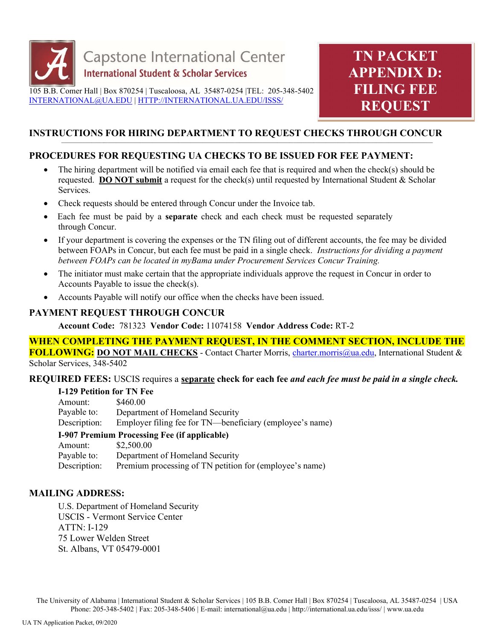

# INSTRUCTIONS FOR HIRING DEPARTMENT TO REQUEST CHECKS THROUGH CONCUR

# PROCEDURES FOR REQUESTING UA CHECKS TO BE ISSUED FOR FEE PAYMENT:

- The hiring department will be notified via email each fee that is required and when the check(s) should be requested. **DO NOT submit** a request for the check(s) until requested by International Student & Scholar Services.
- Check requests should be entered through Concur under the Invoice tab.
- Each fee must be paid by a **separate** check and each check must be requested separately through Concur.
- If your department is covering the expenses or the TN filing out of different accounts, the fee may be divided between FOAPs in Concur, but each fee must be paid in a single check. *Instructions for dividing a payment* between FOAPs can be located in myBama under Procurement Services Concur Training.
- The initiator must make certain that the appropriate individuals approve the request in Concur in order to Accounts Payable to issue the check(s).
- Accounts Payable will notify our office when the checks have been issued.

## PAYMENT REQUEST THROUGH CONCUR

Account Code: 781323 Vendor Code: 11074158 Vendor Address Code: RT-2

WHEN COMPLETING THE PAYMENT REQUEST, IN THE COMMENT SECTION, INCLUDE THE FOLLOWING: DO NOT MAIL CHECKS - Contact Charter Morris, charter.morris@ua.edu, International Student & Scholar Services, 348-5402

## REQUIRED FEES: USCIS requires a separate check for each fee and each fee must be paid in a single check.

| <b>I-129 Petition for TN Fee</b>                    |                                                          |  |
|-----------------------------------------------------|----------------------------------------------------------|--|
| Amount:                                             | \$460.00                                                 |  |
| Payable to:                                         | Department of Homeland Security                          |  |
| Description:                                        | Employer filing fee for TN—beneficiary (employee's name) |  |
| <b>I-907 Premium Processing Fee (if applicable)</b> |                                                          |  |
| Amount:                                             | \$2,500.00                                               |  |
| Payable to:                                         | Department of Homeland Security                          |  |

Premium processing of TN petition for (employee's name)

## MAILING ADDRESS:

Description:

U.S. Department of Homeland Security USCIS - Vermont Service Center ATTN: I-129 75 Lower Welden Street St. Albans, VT 05479-0001

The University of Alabama | International Student & Scholar Services | 105 B.B. Comer Hall | Box 870254 | Tuscaloosa, AL 35487-0254 | USA Phone: 205-348-5402 | Fax: 205-348-5406 | E-mail: international@ua.edu | http://international.ua.edu/isss/ | www.ua.edu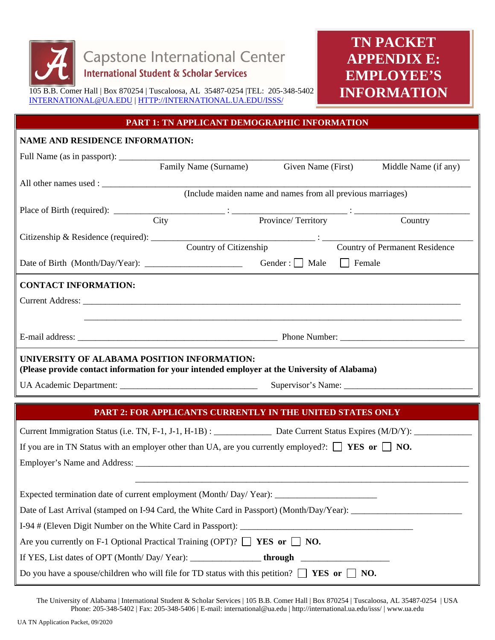

# **TN PACKET APPENDIX E: EMPLOYEE'S INFORMATION**

#### **PART 1: TN APPLICANT DEMOGRAPHIC INFORMATION**

# **NAME AND RESIDENCE INFORMATION:**  Full Name (as in passport): \_\_\_\_\_\_\_\_\_\_\_\_\_\_\_\_\_\_\_\_\_\_\_\_\_\_\_\_\_\_\_\_\_\_\_\_\_\_\_\_\_\_\_\_\_\_\_\_\_\_\_\_\_\_\_\_\_\_\_\_\_\_\_\_\_\_\_\_\_\_\_\_\_\_\_\_\_\_\_ Family Name (Surname) Given Name (First) Middle Name (if any) All other names used : (Include maiden name and names from all previous marriages) Place of Birth (required): \_\_\_\_\_\_\_\_\_\_\_\_\_\_\_\_\_\_\_\_\_\_\_\_\_ : \_\_\_\_\_\_\_\_\_\_\_\_\_\_\_\_\_\_\_\_\_\_\_\_\_\_ : \_\_\_\_\_\_\_\_\_\_\_\_\_\_\_\_\_\_\_\_\_\_\_\_\_\_ City Province/ Territory Country Citizenship & Residence (required): \_\_\_\_\_\_\_\_\_\_\_\_\_\_\_\_\_\_\_\_\_\_\_\_\_\_\_\_\_\_\_\_\_\_\_\_\_ : \_\_\_\_\_\_\_\_\_\_\_\_\_\_\_\_\_\_\_\_\_\_\_\_\_\_\_\_\_\_\_\_\_\_ Country of Permanent Residence Date of Birth (Month/Day/Year): \_\_\_\_\_\_\_\_\_\_\_\_\_\_\_\_\_\_\_\_\_\_ Gender : Male Female **CONTACT INFORMATION:**  Current Address: \_\_\_\_\_\_\_\_\_\_\_\_\_\_\_\_\_\_\_\_\_\_\_\_\_\_\_\_\_\_\_\_\_\_\_\_\_\_\_\_\_\_\_\_\_\_\_\_\_\_\_\_\_\_\_\_\_\_\_\_\_\_\_\_\_\_\_\_\_\_\_\_\_\_\_\_\_\_\_\_\_\_\_\_\_  $\overline{\phantom{a}}$  , and the contribution of the contribution of the contribution of the contribution of the contribution of the contribution of the contribution of the contribution of the contribution of the contribution of the E-mail address: \_\_\_\_\_\_\_\_\_\_\_\_\_\_\_\_\_\_\_\_\_\_\_\_\_\_\_\_\_\_\_\_\_\_\_\_\_\_\_\_\_\_\_\_\_ Phone Number: \_\_\_\_\_\_\_\_\_\_\_\_\_\_\_\_\_\_\_\_\_\_\_\_\_\_\_\_ **UNIVERSITY OF ALABAMA POSITION INFORMATION: (Please provide contact information for your intended employer at the University of Alabama)**  UA Academic Department: \_\_\_\_\_\_\_\_\_\_\_\_\_\_\_\_\_\_\_\_\_\_\_\_\_\_\_\_\_\_\_ Supervisor's Name: \_\_\_\_\_\_\_\_\_\_\_\_\_\_\_\_\_\_\_\_\_\_\_\_\_\_\_\_\_ **PART 2: FOR APPLICANTS CURRENTLY IN THE UNITED STATES ONLY**  Current Immigration Status (i.e. TN, F-1, J-1, H-1B) : \_\_\_\_\_\_\_\_\_\_\_\_\_ Date Current Status Expires (M/D/Y): \_\_\_\_\_\_\_\_\_\_\_\_\_ If you are in TN Status with an employer other than UA, are you currently employed?:  $\Box$  **YES** or  $\Box$  **NO.** Employer's Name and Address: \_\_\_\_\_\_\_\_\_\_\_\_\_\_\_\_\_\_\_\_\_\_\_\_\_\_\_\_\_\_\_\_\_\_\_\_\_\_\_\_\_\_\_\_\_\_\_\_\_\_\_\_\_\_\_\_\_\_\_\_\_\_\_\_\_\_\_\_\_\_\_\_\_\_\_ \_\_\_\_\_\_\_\_\_\_\_\_\_\_\_\_\_\_\_\_\_\_\_\_\_\_\_\_\_\_\_\_\_\_\_\_\_\_\_\_\_\_\_\_\_\_\_\_\_\_\_\_\_\_\_\_\_\_\_\_\_\_\_\_\_\_\_\_\_\_\_\_\_\_\_ Expected termination date of current employment (Month/ Day/ Year):

Date of Last Arrival (stamped on I-94 Card, the White Card in Passport) (Month/Day/Year): \_\_\_\_\_\_\_\_\_\_\_\_\_\_\_\_\_\_\_\_

I-94 # (Eleven Digit Number on the White Card in Passport): \_\_\_\_\_\_\_\_\_\_\_\_\_\_\_\_\_\_\_\_\_\_\_\_\_\_\_\_\_\_\_\_\_\_\_\_\_\_\_

Are you currently on F-1 Optional Practical Training  $(OPT)? \Box$  **YES or**  $\Box$  **NO.** 

If YES, List dates of OPT (Month/ Day/ Year): \_\_\_\_\_\_\_\_\_\_\_\_\_\_\_\_ **through** \_\_\_\_\_\_\_\_\_\_\_\_\_\_\_\_\_\_\_\_

Do you have a spouse/children who will file for TD status with this petition?  $\Box$  **YES or**  $\Box$  **NO.** 

The University of Alabama | International Student & Scholar Services | 105 B.B. Comer Hall | Box 870254 | Tuscaloosa, AL 35487-0254 | USA Phone: 205-348-5402 | Fax: 205-348-5406 | E-mail: international@ua.edu | http://international.ua.edu/isss/ | www.ua.edu